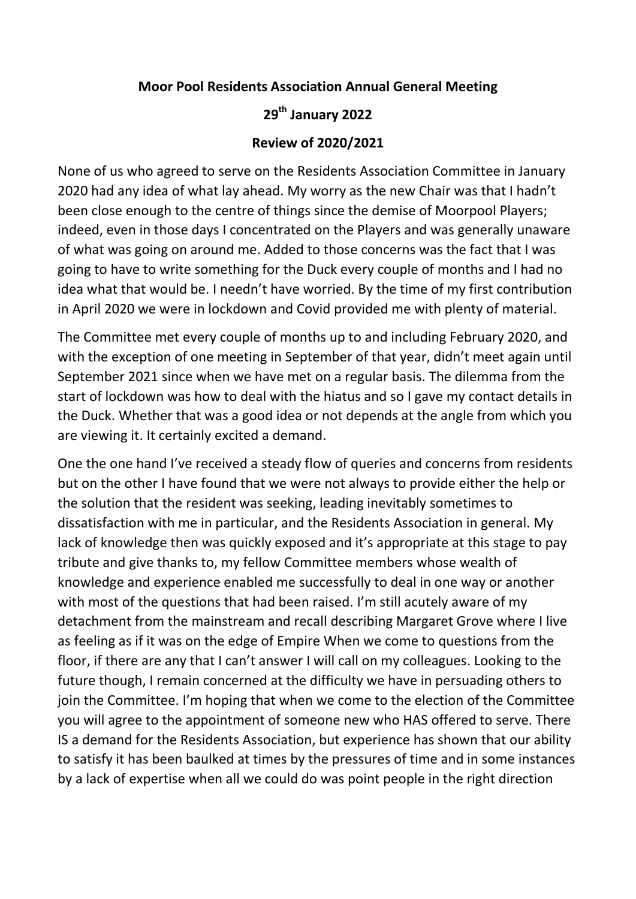## **Moor Pool Residents Association Annual General Meeting**

## **29th January 2022**

## **Review of 2020/2021**

None of us who agreed to serve on the Residents Association Committee in January 2020 had any idea of what lay ahead. My worry as the new Chair was that I hadn't been close enough to the centre of things since the demise of Moorpool Players; indeed, even in those days I concentrated on the Players and was generally unaware of what was going on around me. Added to those concerns was the fact that I was going to have to write something for the Duck every couple of months and I had no idea what that would be. I needn't have worried. By the time of my first contribution in April 2020 we were in lockdown and Covid provided me with plenty of material.

The Committee met every couple of months up to and including February 2020, and with the exception of one meeting in September of that year, didn't meet again until September 2021 since when we have met on a regular basis. The dilemma from the start of lockdown was how to deal with the hiatus and so I gave my contact details in the Duck. Whether that was a good idea or not depends at the angle from which you are viewing it. It certainly excited a demand.

One the one hand I've received a steady flow of queries and concerns from residents but on the other I have found that we were not always to provide either the help or the solution that the resident was seeking, leading inevitably sometimes to dissatisfaction with me in particular, and the Residents Association in general. My lack of knowledge then was quickly exposed and it's appropriate at this stage to pay tribute and give thanks to, my fellow Committee members whose wealth of knowledge and experience enabled me successfully to deal in one way or another with most of the questions that had been raised. I'm still acutely aware of my detachment from the mainstream and recall describing Margaret Grove where I live as feeling as if it was on the edge of Empire When we come to questions from the floor, if there are any that I can't answer I will call on my colleagues. Looking to the future though, I remain concerned at the difficulty we have in persuading others to join the Committee. I'm hoping that when we come to the election of the Committee you will agree to the appointment of someone new who HAS offered to serve. There IS a demand for the Residents Association, but experience has shown that our ability to satisfy it has been baulked at times by the pressures of time and in some instances by a lack of expertise when all we could do was point people in the right direction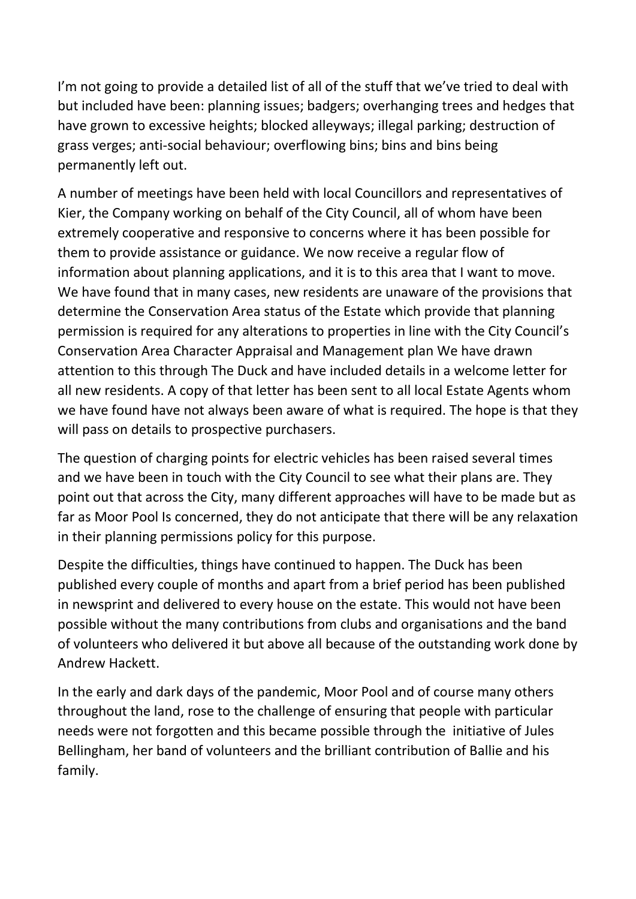I'm not going to provide a detailed list of all of the stuff that we've tried to deal with but included have been: planning issues; badgers; overhanging trees and hedges that have grown to excessive heights; blocked alleyways; illegal parking; destruction of grass verges; anti-social behaviour; overflowing bins; bins and bins being permanently left out.

A number of meetings have been held with local Councillors and representatives of Kier, the Company working on behalf of the City Council, all of whom have been extremely cooperative and responsive to concerns where it has been possible for them to provide assistance or guidance. We now receive a regular flow of information about planning applications, and it is to this area that I want to move. We have found that in many cases, new residents are unaware of the provisions that determine the Conservation Area status of the Estate which provide that planning permission is required for any alterations to properties in line with the City Council's Conservation Area Character Appraisal and Management plan We have drawn attention to this through The Duck and have included details in a welcome letter for all new residents. A copy of that letter has been sent to all local Estate Agents whom we have found have not always been aware of what is required. The hope is that they will pass on details to prospective purchasers.

The question of charging points for electric vehicles has been raised several times and we have been in touch with the City Council to see what their plans are. They point out that across the City, many different approaches will have to be made but as far as Moor Pool Is concerned, they do not anticipate that there will be any relaxation in their planning permissions policy for this purpose.

Despite the difficulties, things have continued to happen. The Duck has been published every couple of months and apart from a brief period has been published in newsprint and delivered to every house on the estate. This would not have been possible without the many contributions from clubs and organisations and the band of volunteers who delivered it but above all because of the outstanding work done by Andrew Hackett.

In the early and dark days of the pandemic, Moor Pool and of course many others throughout the land, rose to the challenge of ensuring that people with particular needs were not forgotten and this became possible through the initiative of Jules Bellingham, her band of volunteers and the brilliant contribution of Ballie and his family.